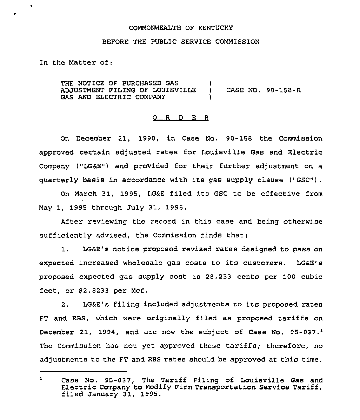# COMMONWEALTH OF KENTUCKY

#### BEFORE THE PUBLIC SERVICE COMMISSION

In the Matter of:

THE NOTICE OF PURCHASED GAS ADJUSTMENT FILING OF LOUISVILLE GAS AND ELECTRIC COMPANY ) ) CASE NO. 90-158-R )

# 0 R <sup>D</sup> E <sup>R</sup>

On December 21, 1990, in Case No. 90-158 the Commission approved certain adjusted rates for Louisville Gas and Electric Company ("LG&E") and provided for their further adjustment on a quarterly basis in accordance with its gas supply clause ("GSC").

On March 31, 1995, LG&E filed its GSC to be effective from May 1, 1995 through July 31, 1995,

After reviewing the record in this case and being otherwise sufficiently advised, the Commission finds that:

1. LGaE's notice proposed revised rates designed to pass on expected increased wholesale gas costs to its customers. LG&E's proposed expected gas supply cost is 28.233 cents per 100 cubic feet, or  $$2.8233$  per Mcf.

2. LG&E's filing included adjustments to its proposed rates FT and RBS, which were originally filed as proposed tariffs on December 21, 1994, and are now the subject of Case No.  $95-037.^1$ The Commission has not yet approved these tariffs; therefore, no adjustments to the FT and RBS rates should be approved at this time.

 $\mathbf{1}$ Case No. 95-037, The Tariff Filing of Louisville Gas and Electric Company to Modify Firm Transportation Service Tariff, filed January 31, 1995.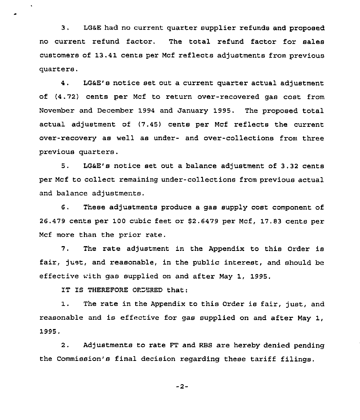3. LG&E had no current quarter supplier refunds and proposed no current refund factor. The total refund factor for sales customers of 13.41 cents per Mcf reflects adjustments from previous quarters.

4. LG&E's notice set out a current quarter actual adjustment of (4.72) cents per Mcf to return over-recovered gas cost from November and December 1994 and January 1995. The proposed total actual adjustment of (7.45) cents per Mcf reflects the current over-recovery as well as under- and over-collections from three previous quarters.

5. LG&E's notice set out a balance adjustment of 3.32 cents per Mcf to collect remaining under-collections from previous actual and balance adjustments.

6. These adjustments produce a gas supply cost component of 26.479 cents per 100 cubic feet or \$2.6479 per Mcf, 17.83 cents per Mcf more than the prior rate.

7. The rate adjustment in the Appendix to this Order is fair, just, and reasonable, in the public interest, and should be effective with gas supplied on and after May 1, 1995.

IT IS THEREFORE ORDERED that:

1. The rate in the Appendix to this Order is fair, just, and reasonable and is effective for gas supplied on and after May 1, 1995,

2. Adjustments to rate FT and RES are hereby denied pending the Commission's final decision regarding these tariff filings.

 $-2-$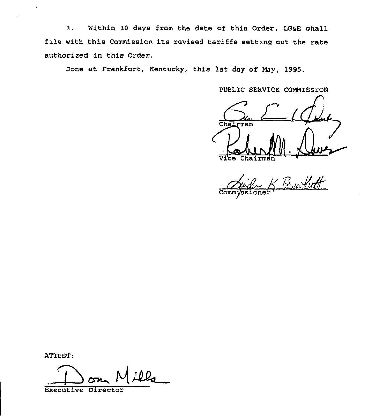3. Within 30 days from the date of this Order, LG&E shall file with this Commission, its revised tariffs setting out the rate authorized in this Order.

Done at Frankfort, Kentucky, this 1st day of Hay, 1995.

PUBLIC SERVICE COMMISSiON

Chairman v. Chairman

Commi/ssi

ATTEST:

:00.  $\frac{1}{\sqrt{2}}$ 

Executive Directo: